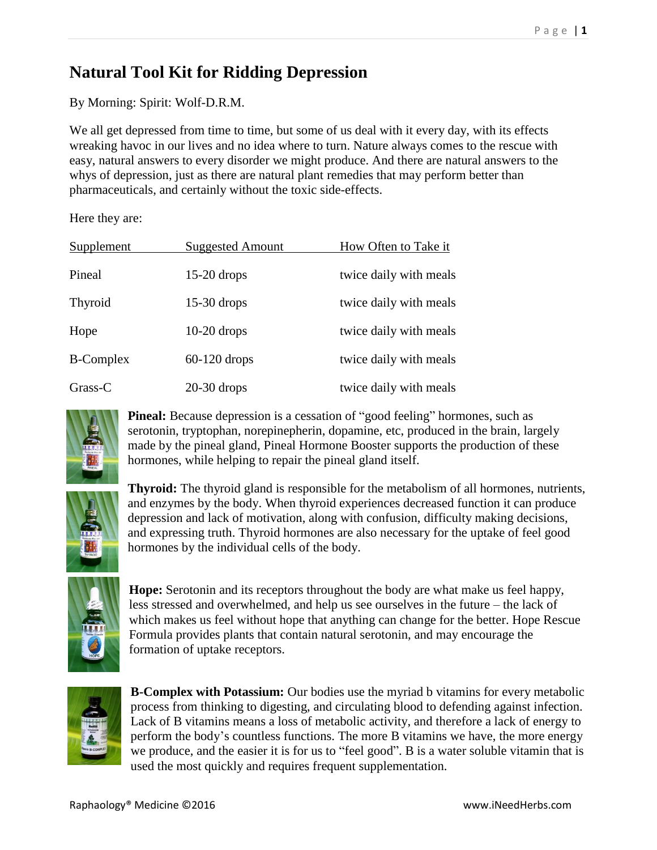## **Natural Tool Kit for Ridding Depression**

By Morning: Spirit: Wolf-D.R.M.

We all get depressed from time to time, but some of us deal with it every day, with its effects wreaking havoc in our lives and no idea where to turn. Nature always comes to the rescue with easy, natural answers to every disorder we might produce. And there are natural answers to the whys of depression, just as there are natural plant remedies that may perform better than pharmaceuticals, and certainly without the toxic side-effects.

Here they are:

| Supplement       | <b>Suggested Amount</b> | How Often to Take it   |
|------------------|-------------------------|------------------------|
| Pineal           | $15-20$ drops           | twice daily with meals |
| Thyroid          | $15-30$ drops           | twice daily with meals |
| Hope             | $10-20$ drops           | twice daily with meals |
| <b>B-Complex</b> | $60-120$ drops          | twice daily with meals |
| $Grass-C$        | $20-30$ drops           | twice daily with meals |



**Pineal:** Because depression is a cessation of "good feeling" hormones, such as serotonin, tryptophan, norepinepherin, dopamine, etc, produced in the brain, largely made by the pineal gland, Pineal Hormone Booster supports the production of these hormones, while helping to repair the pineal gland itself.



**Thyroid:** The thyroid gland is responsible for the metabolism of all hormones, nutrients, and enzymes by the body. When thyroid experiences decreased function it can produce depression and lack of motivation, along with confusion, difficulty making decisions, and expressing truth. Thyroid hormones are also necessary for the uptake of feel good hormones by the individual cells of the body.



**Hope:** Serotonin and its receptors throughout the body are what make us feel happy, less stressed and overwhelmed, and help us see ourselves in the future – the lack of which makes us feel without hope that anything can change for the better. Hope Rescue Formula provides plants that contain natural serotonin, and may encourage the formation of uptake receptors.



**B-Complex with Potassium:** Our bodies use the myriad b vitamins for every metabolic process from thinking to digesting, and circulating blood to defending against infection. Lack of B vitamins means a loss of metabolic activity, and therefore a lack of energy to perform the body's countless functions. The more B vitamins we have, the more energy we produce, and the easier it is for us to "feel good". B is a water soluble vitamin that is used the most quickly and requires frequent supplementation.